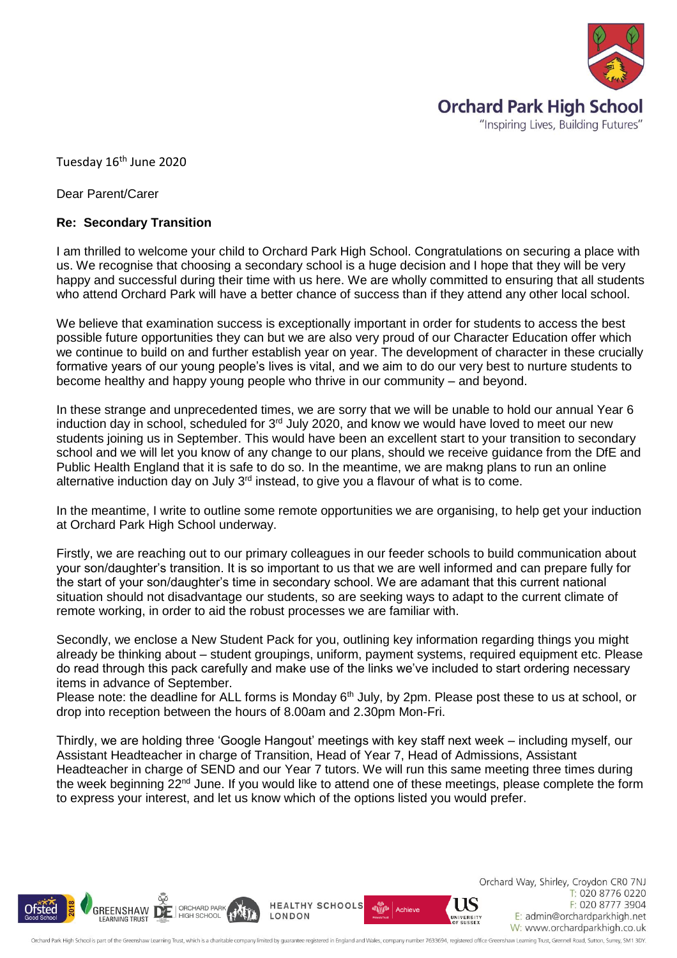

Tuesday 16<sup>th</sup> June 2020

Dear Parent/Carer

## **Re: Secondary Transition**

I am thrilled to welcome your child to Orchard Park High School. Congratulations on securing a place with us. We recognise that choosing a secondary school is a huge decision and I hope that they will be very happy and successful during their time with us here. We are wholly committed to ensuring that all students who attend Orchard Park will have a better chance of success than if they attend any other local school.

We believe that examination success is exceptionally important in order for students to access the best possible future opportunities they can but we are also very proud of our Character Education offer which we continue to build on and further establish year on year. The development of character in these crucially formative years of our young people's lives is vital, and we aim to do our very best to nurture students to become healthy and happy young people who thrive in our community – and beyond.

In these strange and unprecedented times, we are sorry that we will be unable to hold our annual Year 6 induction day in school, scheduled for 3<sup>rd</sup> July 2020, and know we would have loved to meet our new students joining us in September. This would have been an excellent start to your transition to secondary school and we will let you know of any change to our plans, should we receive guidance from the DfE and Public Health England that it is safe to do so. In the meantime, we are makng plans to run an online alternative induction day on July  $3<sup>rd</sup>$  instead, to give you a flavour of what is to come.

In the meantime, I write to outline some remote opportunities we are organising, to help get your induction at Orchard Park High School underway.

Firstly, we are reaching out to our primary colleagues in our feeder schools to build communication about your son/daughter's transition. It is so important to us that we are well informed and can prepare fully for the start of your son/daughter's time in secondary school. We are adamant that this current national situation should not disadvantage our students, so are seeking ways to adapt to the current climate of remote working, in order to aid the robust processes we are familiar with.

Secondly, we enclose a New Student Pack for you, outlining key information regarding things you might already be thinking about – student groupings, uniform, payment systems, required equipment etc. Please do read through this pack carefully and make use of the links we've included to start ordering necessary items in advance of September.

Please note: the deadline for ALL forms is Monday 6<sup>th</sup> July, by 2pm. Please post these to us at school, or drop into reception between the hours of 8.00am and 2.30pm Mon-Fri.

Thirdly, we are holding three 'Google Hangout' meetings with key staff next week – including myself, our Assistant Headteacher in charge of Transition, Head of Year 7, Head of Admissions, Assistant Headteacher in charge of SEND and our Year 7 tutors. We will run this same meeting three times during the week beginning  $22<sup>nd</sup>$  June. If you would like to attend one of these meetings, please complete the form to express your interest, and let us know which of the options listed you would prefer.